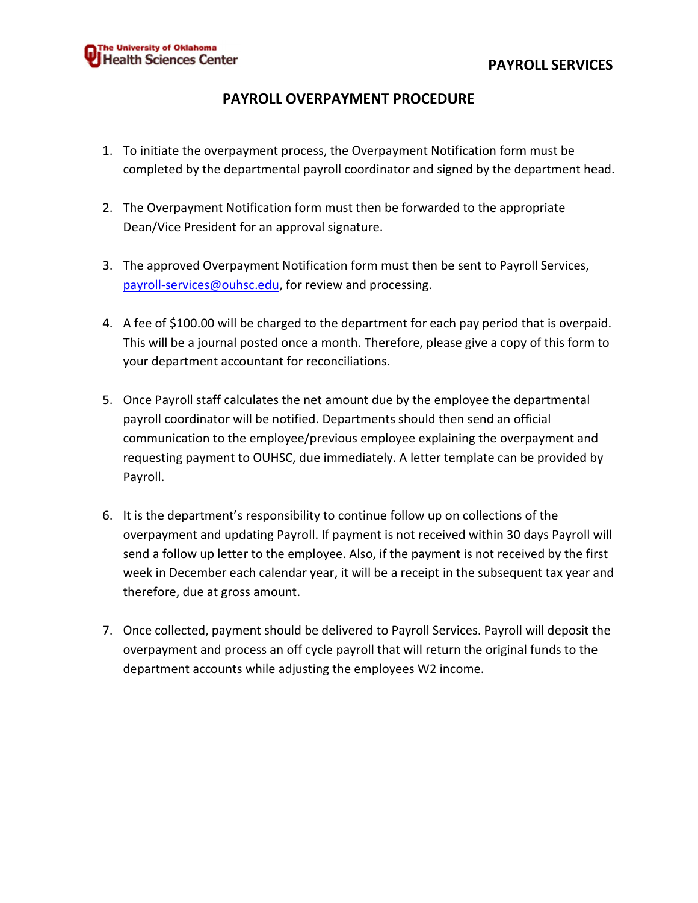## PAYROLL OVERPAYMENT PROCEDURE

- 1. To initiate the overpayment process, the Overpayment Notification form must be completed by the departmental payroll coordinator and signed by the department head.
- 2. The Overpayment Notification form must then be forwarded to the appropriate Dean/Vice President for an approval signature.
- 3. The approved Overpayment Notification form must then be sent to Payroll Services, payroll-services@ouhsc.edu, for review and processing.
- 4. A fee of \$100.00 will be charged to the department for each pay period that is overpaid. This will be a journal posted once a month. Therefore, please give a copy of this form to your department accountant for reconciliations.
- 5. Once Payroll staff calculates the net amount due by the employee the departmental payroll coordinator will be notified. Departments should then send an official communication to the employee/previous employee explaining the overpayment and requesting payment to OUHSC, due immediately. A letter template can be provided by Payroll.
- 6. It is the department's responsibility to continue follow up on collections of the overpayment and updating Payroll. If payment is not received within 30 days Payroll will send a follow up letter to the employee. Also, if the payment is not received by the first week in December each calendar year, it will be a receipt in the subsequent tax year and therefore, due at gross amount.
- 7. Once collected, payment should be delivered to Payroll Services. Payroll will deposit the overpayment and process an off cycle payroll that will return the original funds to the department accounts while adjusting the employees W2 income.